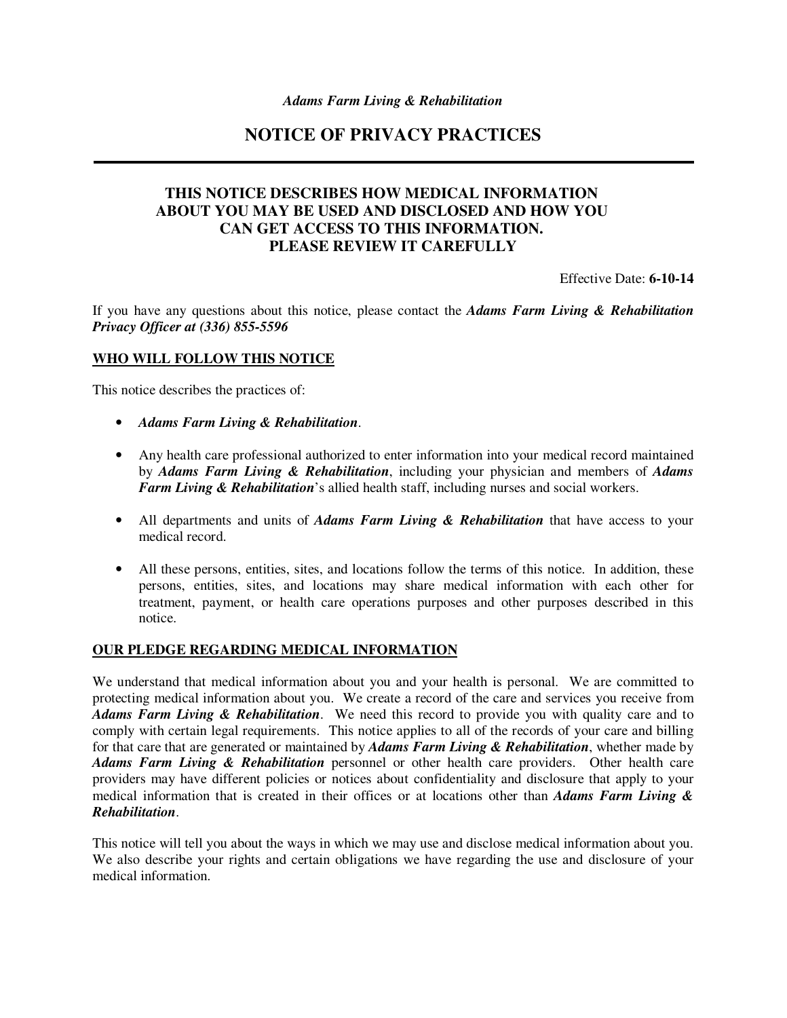# **NOTICE OF PRIVACY PRACTICES**

## **THIS NOTICE DESCRIBES HOW MEDICAL INFORMATION ABOUT YOU MAY BE USED AND DISCLOSED AND HOW YOU CAN GET ACCESS TO THIS INFORMATION. PLEASE REVIEW IT CAREFULLY**

Effective Date: **6-10-14** 

If you have any questions about this notice, please contact the *Adams Farm Living & Rehabilitation Privacy Officer at (336) 855-5596*

#### **WHO WILL FOLLOW THIS NOTICE**

This notice describes the practices of:

- *Adams Farm Living & Rehabilitation*.
- Any health care professional authorized to enter information into your medical record maintained by *Adams Farm Living & Rehabilitation*, including your physician and members of *Adams Farm Living & Rehabilitation*'s allied health staff, including nurses and social workers.
- All departments and units of *Adams Farm Living & Rehabilitation* that have access to your medical record.
- All these persons, entities, sites, and locations follow the terms of this notice. In addition, these persons, entities, sites, and locations may share medical information with each other for treatment, payment, or health care operations purposes and other purposes described in this notice.

#### **OUR PLEDGE REGARDING MEDICAL INFORMATION**

We understand that medical information about you and your health is personal. We are committed to protecting medical information about you. We create a record of the care and services you receive from *Adams Farm Living & Rehabilitation*. We need this record to provide you with quality care and to comply with certain legal requirements. This notice applies to all of the records of your care and billing for that care that are generated or maintained by *Adams Farm Living & Rehabilitation*, whether made by *Adams Farm Living & Rehabilitation* personnel or other health care providers. Other health care providers may have different policies or notices about confidentiality and disclosure that apply to your medical information that is created in their offices or at locations other than *Adams Farm Living & Rehabilitation*.

This notice will tell you about the ways in which we may use and disclose medical information about you. We also describe your rights and certain obligations we have regarding the use and disclosure of your medical information.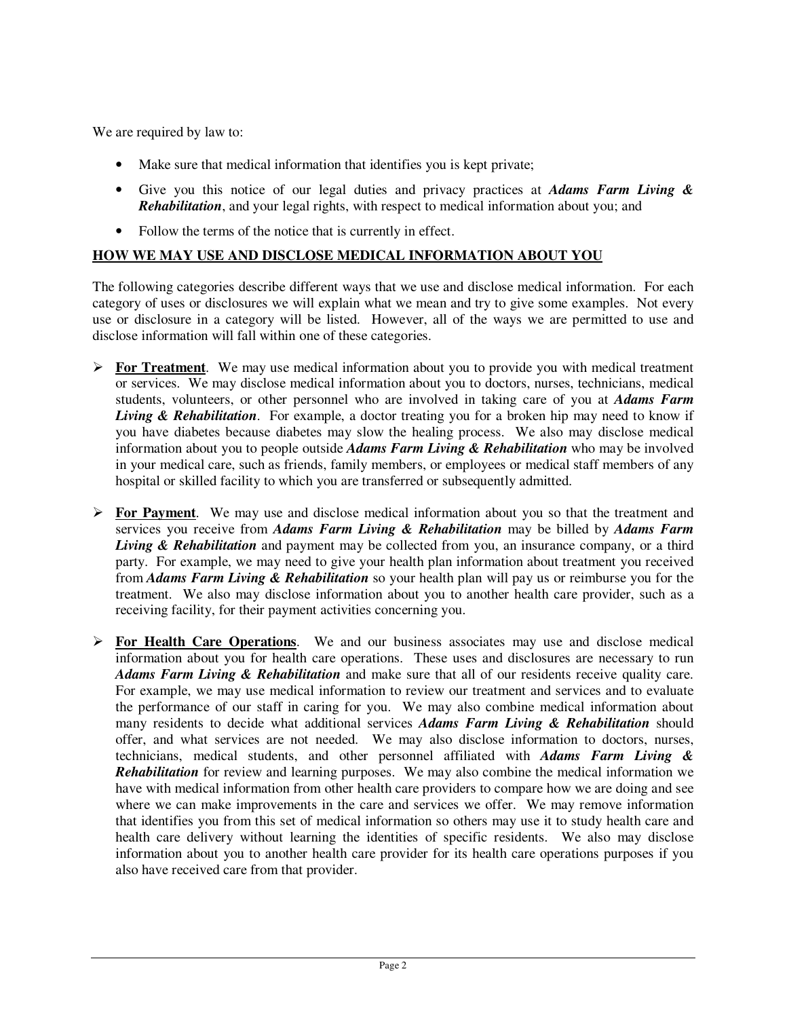We are required by law to:

- Make sure that medical information that identifies you is kept private;
- Give you this notice of our legal duties and privacy practices at *Adams Farm Living & Rehabilitation*, and your legal rights, with respect to medical information about you; and
- Follow the terms of the notice that is currently in effect.

## **HOW WE MAY USE AND DISCLOSE MEDICAL INFORMATION ABOUT YOU**

The following categories describe different ways that we use and disclose medical information. For each category of uses or disclosures we will explain what we mean and try to give some examples. Not every use or disclosure in a category will be listed. However, all of the ways we are permitted to use and disclose information will fall within one of these categories.

- **For Treatment**. We may use medical information about you to provide you with medical treatment or services. We may disclose medical information about you to doctors, nurses, technicians, medical students, volunteers, or other personnel who are involved in taking care of you at *Adams Farm Living & Rehabilitation*. For example, a doctor treating you for a broken hip may need to know if you have diabetes because diabetes may slow the healing process. We also may disclose medical information about you to people outside *Adams Farm Living & Rehabilitation* who may be involved in your medical care, such as friends, family members, or employees or medical staff members of any hospital or skilled facility to which you are transferred or subsequently admitted.
- **For Payment**. We may use and disclose medical information about you so that the treatment and services you receive from *Adams Farm Living & Rehabilitation* may be billed by *Adams Farm Living & Rehabilitation* and payment may be collected from you, an insurance company, or a third party. For example, we may need to give your health plan information about treatment you received from *Adams Farm Living & Rehabilitation* so your health plan will pay us or reimburse you for the treatment. We also may disclose information about you to another health care provider, such as a receiving facility, for their payment activities concerning you.
- **For Health Care Operations**. We and our business associates may use and disclose medical information about you for health care operations. These uses and disclosures are necessary to run *Adams Farm Living & Rehabilitation* and make sure that all of our residents receive quality care. For example, we may use medical information to review our treatment and services and to evaluate the performance of our staff in caring for you. We may also combine medical information about many residents to decide what additional services *Adams Farm Living & Rehabilitation* should offer, and what services are not needed. We may also disclose information to doctors, nurses, technicians, medical students, and other personnel affiliated with *Adams Farm Living &*  **Rehabilitation** for review and learning purposes. We may also combine the medical information we have with medical information from other health care providers to compare how we are doing and see where we can make improvements in the care and services we offer. We may remove information that identifies you from this set of medical information so others may use it to study health care and health care delivery without learning the identities of specific residents. We also may disclose information about you to another health care provider for its health care operations purposes if you also have received care from that provider.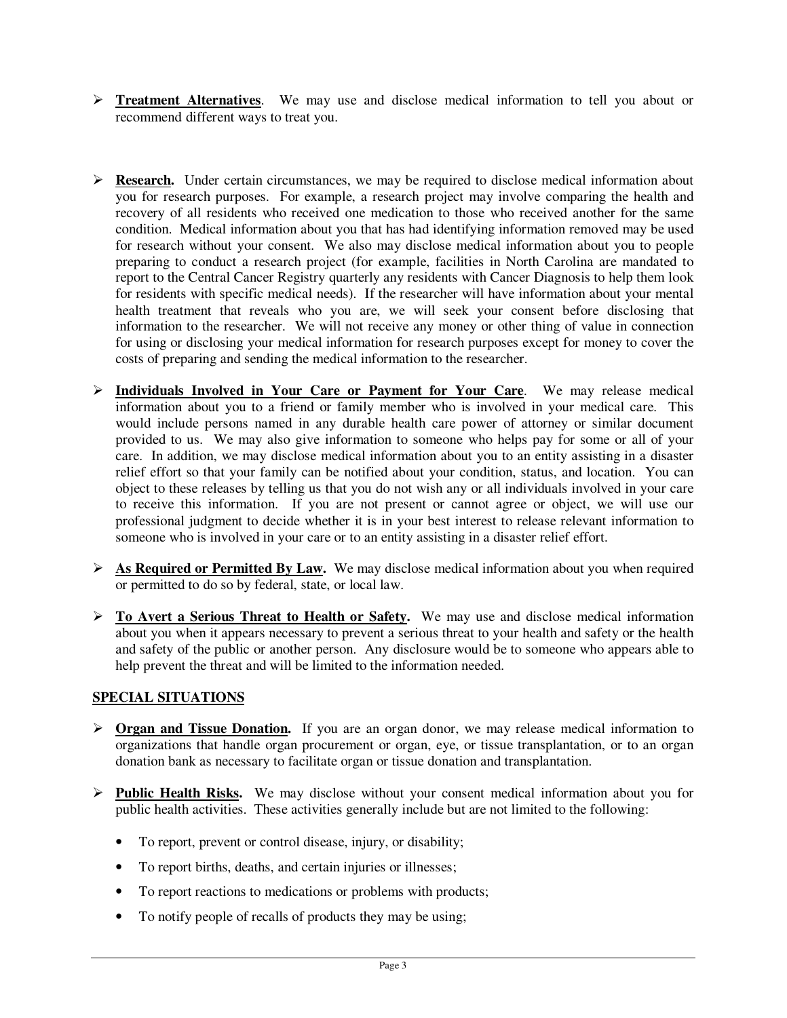- **Treatment Alternatives**. We may use and disclose medical information to tell you about or recommend different ways to treat you.
- $\triangleright$  **Research.** Under certain circumstances, we may be required to disclose medical information about you for research purposes. For example, a research project may involve comparing the health and recovery of all residents who received one medication to those who received another for the same condition. Medical information about you that has had identifying information removed may be used for research without your consent. We also may disclose medical information about you to people preparing to conduct a research project (for example, facilities in North Carolina are mandated to report to the Central Cancer Registry quarterly any residents with Cancer Diagnosis to help them look for residents with specific medical needs). If the researcher will have information about your mental health treatment that reveals who you are, we will seek your consent before disclosing that information to the researcher. We will not receive any money or other thing of value in connection for using or disclosing your medical information for research purposes except for money to cover the costs of preparing and sending the medical information to the researcher.
- **Individuals Involved in Your Care or Payment for Your Care**. We may release medical information about you to a friend or family member who is involved in your medical care. This would include persons named in any durable health care power of attorney or similar document provided to us. We may also give information to someone who helps pay for some or all of your care. In addition, we may disclose medical information about you to an entity assisting in a disaster relief effort so that your family can be notified about your condition, status, and location. You can object to these releases by telling us that you do not wish any or all individuals involved in your care to receive this information. If you are not present or cannot agree or object, we will use our professional judgment to decide whether it is in your best interest to release relevant information to someone who is involved in your care or to an entity assisting in a disaster relief effort.
- **As Required or Permitted By Law.** We may disclose medical information about you when required or permitted to do so by federal, state, or local law.
- **To Avert a Serious Threat to Health or Safety.** We may use and disclose medical information about you when it appears necessary to prevent a serious threat to your health and safety or the health and safety of the public or another person. Any disclosure would be to someone who appears able to help prevent the threat and will be limited to the information needed.

#### **SPECIAL SITUATIONS**

- **Organ and Tissue Donation.** If you are an organ donor, we may release medical information to organizations that handle organ procurement or organ, eye, or tissue transplantation, or to an organ donation bank as necessary to facilitate organ or tissue donation and transplantation.
- **Public Health Risks.** We may disclose without your consent medical information about you for public health activities. These activities generally include but are not limited to the following:
	- To report, prevent or control disease, injury, or disability;
	- To report births, deaths, and certain injuries or illnesses;
	- To report reactions to medications or problems with products;
	- To notify people of recalls of products they may be using;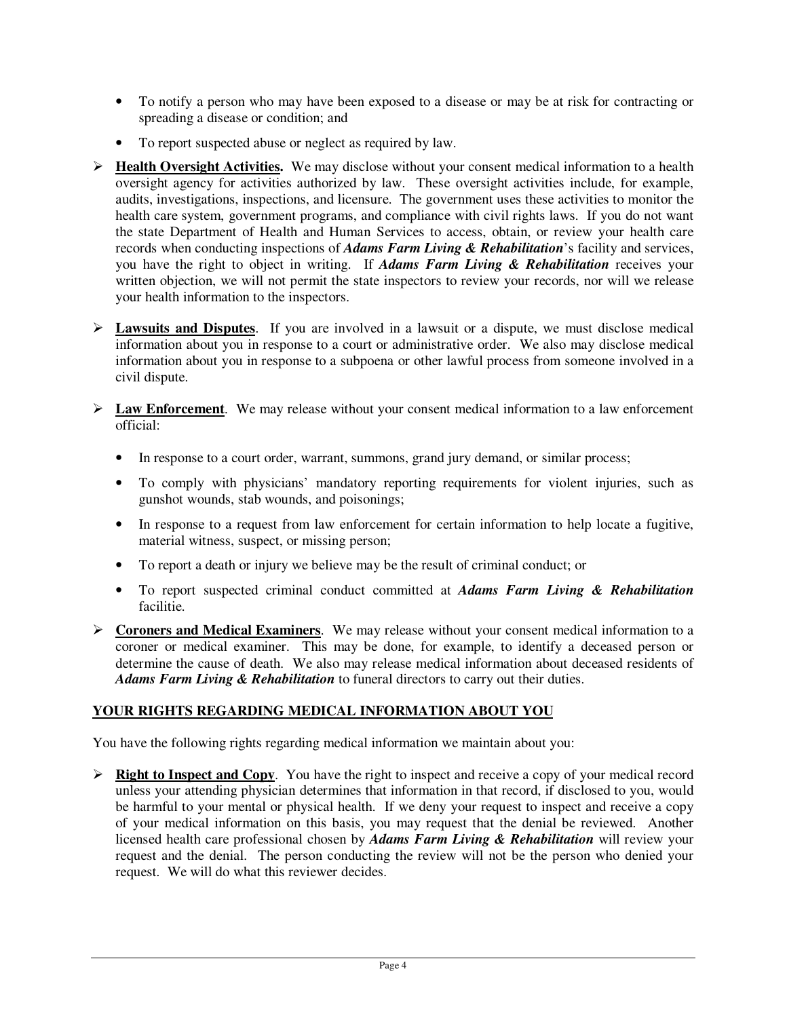- To notify a person who may have been exposed to a disease or may be at risk for contracting or spreading a disease or condition; and
- To report suspected abuse or neglect as required by law.
- **Health Oversight Activities.** We may disclose without your consent medical information to a health oversight agency for activities authorized by law. These oversight activities include, for example, audits, investigations, inspections, and licensure. The government uses these activities to monitor the health care system, government programs, and compliance with civil rights laws. If you do not want the state Department of Health and Human Services to access, obtain, or review your health care records when conducting inspections of *Adams Farm Living & Rehabilitation*'s facility and services, you have the right to object in writing. If *Adams Farm Living & Rehabilitation* receives your written objection, we will not permit the state inspectors to review your records, nor will we release your health information to the inspectors.
- $\triangleright$  **Lawsuits and Disputes**. If you are involved in a lawsuit or a dispute, we must disclose medical information about you in response to a court or administrative order. We also may disclose medical information about you in response to a subpoena or other lawful process from someone involved in a civil dispute.
- **Law Enforcement**. We may release without your consent medical information to a law enforcement official:
	- In response to a court order, warrant, summons, grand jury demand, or similar process;
	- To comply with physicians' mandatory reporting requirements for violent injuries, such as gunshot wounds, stab wounds, and poisonings;
	- In response to a request from law enforcement for certain information to help locate a fugitive, material witness, suspect, or missing person;
	- To report a death or injury we believe may be the result of criminal conduct; or
	- To report suspected criminal conduct committed at *Adams Farm Living & Rehabilitation* facilitie.
- **Coroners and Medical Examiners**. We may release without your consent medical information to a coroner or medical examiner. This may be done, for example, to identify a deceased person or determine the cause of death. We also may release medical information about deceased residents of *Adams Farm Living & Rehabilitation* to funeral directors to carry out their duties.

## **YOUR RIGHTS REGARDING MEDICAL INFORMATION ABOUT YOU**

You have the following rights regarding medical information we maintain about you:

 $\triangleright$  **Right to Inspect and Copy.** You have the right to inspect and receive a copy of your medical record unless your attending physician determines that information in that record, if disclosed to you, would be harmful to your mental or physical health. If we deny your request to inspect and receive a copy of your medical information on this basis, you may request that the denial be reviewed. Another licensed health care professional chosen by *Adams Farm Living & Rehabilitation* will review your request and the denial. The person conducting the review will not be the person who denied your request. We will do what this reviewer decides.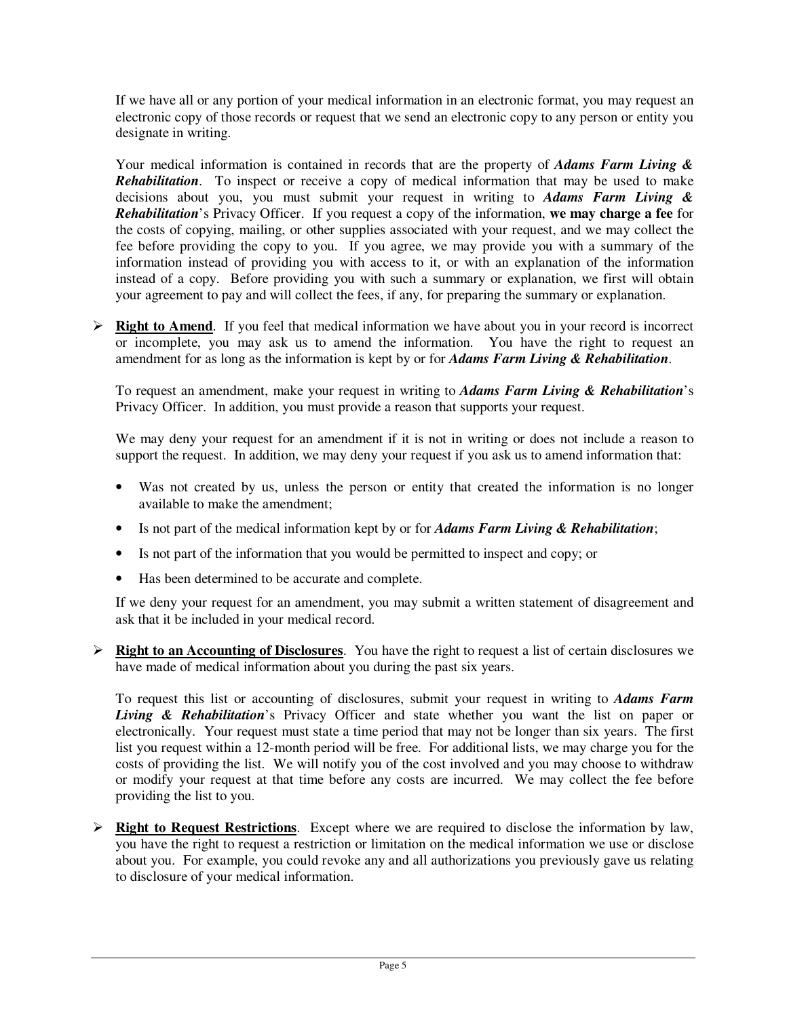If we have all or any portion of your medical information in an electronic format, you may request an electronic copy of those records or request that we send an electronic copy to any person or entity you designate in writing.

Your medical information is contained in records that are the property of *Adams Farm Living & Rehabilitation*. To inspect or receive a copy of medical information that may be used to make decisions about you, you must submit your request in writing to *Adams Farm Living & Rehabilitation*'s Privacy Officer. If you request a copy of the information, **we may charge a fee** for the costs of copying, mailing, or other supplies associated with your request, and we may collect the fee before providing the copy to you. If you agree, we may provide you with a summary of the information instead of providing you with access to it, or with an explanation of the information instead of a copy. Before providing you with such a summary or explanation, we first will obtain your agreement to pay and will collect the fees, if any, for preparing the summary or explanation.

 $\triangleright$  **Right to Amend**. If you feel that medical information we have about you in your record is incorrect or incomplete, you may ask us to amend the information. You have the right to request an amendment for as long as the information is kept by or for *Adams Farm Living & Rehabilitation*.

To request an amendment, make your request in writing to *Adams Farm Living & Rehabilitation*'s Privacy Officer. In addition, you must provide a reason that supports your request.

We may deny your request for an amendment if it is not in writing or does not include a reason to support the request. In addition, we may deny your request if you ask us to amend information that:

- Was not created by us, unless the person or entity that created the information is no longer available to make the amendment;
- Is not part of the medical information kept by or for *Adams Farm Living & Rehabilitation*;
- Is not part of the information that you would be permitted to inspect and copy; or
- Has been determined to be accurate and complete.

If we deny your request for an amendment, you may submit a written statement of disagreement and ask that it be included in your medical record.

 **Right to an Accounting of Disclosures**. You have the right to request a list of certain disclosures we have made of medical information about you during the past six years.

To request this list or accounting of disclosures, submit your request in writing to *Adams Farm Living & Rehabilitation*'s Privacy Officer and state whether you want the list on paper or electronically. Your request must state a time period that may not be longer than six years. The first list you request within a 12-month period will be free. For additional lists, we may charge you for the costs of providing the list. We will notify you of the cost involved and you may choose to withdraw or modify your request at that time before any costs are incurred. We may collect the fee before providing the list to you.

 **Right to Request Restrictions**. Except where we are required to disclose the information by law, you have the right to request a restriction or limitation on the medical information we use or disclose about you. For example, you could revoke any and all authorizations you previously gave us relating to disclosure of your medical information.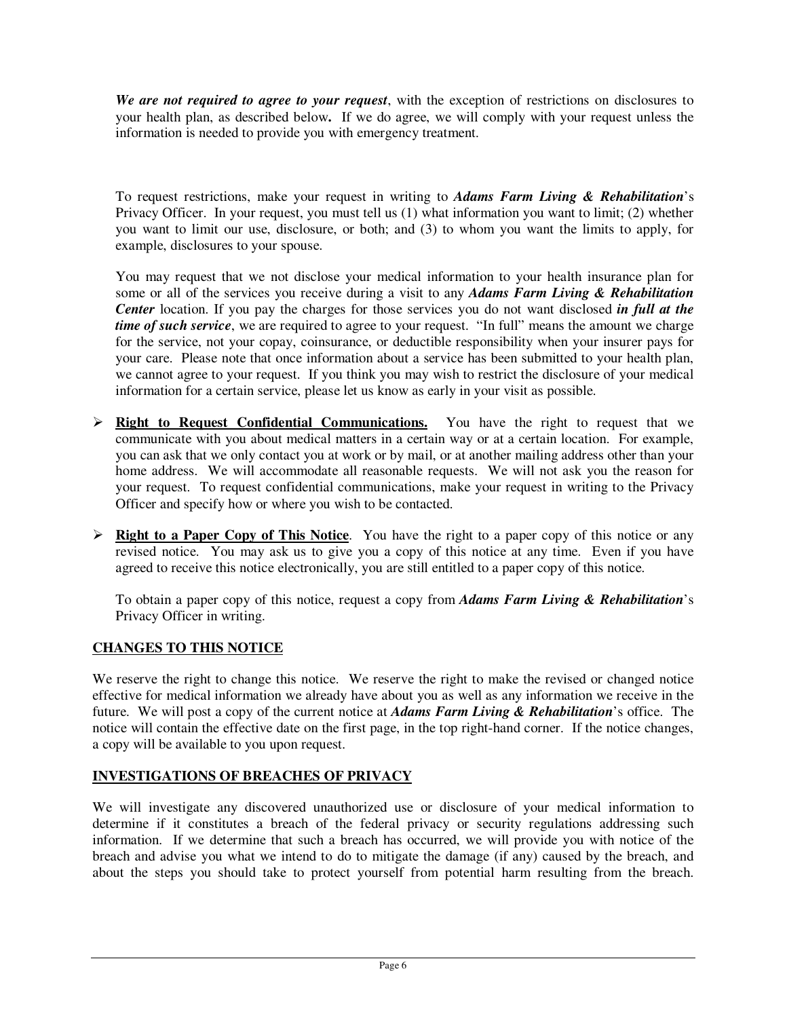*We are not required to agree to your request*, with the exception of restrictions on disclosures to your health plan, as described below**.** If we do agree, we will comply with your request unless the information is needed to provide you with emergency treatment.

To request restrictions, make your request in writing to *Adams Farm Living & Rehabilitation*'s Privacy Officer. In your request, you must tell us (1) what information you want to limit; (2) whether you want to limit our use, disclosure, or both; and (3) to whom you want the limits to apply, for example, disclosures to your spouse.

You may request that we not disclose your medical information to your health insurance plan for some or all of the services you receive during a visit to any *Adams Farm Living & Rehabilitation Center* location. If you pay the charges for those services you do not want disclosed *in full at the time of such service*, we are required to agree to your request. "In full" means the amount we charge for the service, not your copay, coinsurance, or deductible responsibility when your insurer pays for your care. Please note that once information about a service has been submitted to your health plan, we cannot agree to your request. If you think you may wish to restrict the disclosure of your medical information for a certain service, please let us know as early in your visit as possible.

- **Right to Request Confidential Communications.** You have the right to request that we communicate with you about medical matters in a certain way or at a certain location. For example, you can ask that we only contact you at work or by mail, or at another mailing address other than your home address. We will accommodate all reasonable requests. We will not ask you the reason for your request. To request confidential communications, make your request in writing to the Privacy Officer and specify how or where you wish to be contacted.
- **Right to a Paper Copy of This Notice**. You have the right to a paper copy of this notice or any revised notice. You may ask us to give you a copy of this notice at any time. Even if you have agreed to receive this notice electronically, you are still entitled to a paper copy of this notice.

To obtain a paper copy of this notice, request a copy from *Adams Farm Living & Rehabilitation*'s Privacy Officer in writing.

## **CHANGES TO THIS NOTICE**

We reserve the right to change this notice. We reserve the right to make the revised or changed notice effective for medical information we already have about you as well as any information we receive in the future. We will post a copy of the current notice at *Adams Farm Living & Rehabilitation*'s office. The notice will contain the effective date on the first page, in the top right-hand corner. If the notice changes, a copy will be available to you upon request.

#### **INVESTIGATIONS OF BREACHES OF PRIVACY**

We will investigate any discovered unauthorized use or disclosure of your medical information to determine if it constitutes a breach of the federal privacy or security regulations addressing such information. If we determine that such a breach has occurred, we will provide you with notice of the breach and advise you what we intend to do to mitigate the damage (if any) caused by the breach, and about the steps you should take to protect yourself from potential harm resulting from the breach.